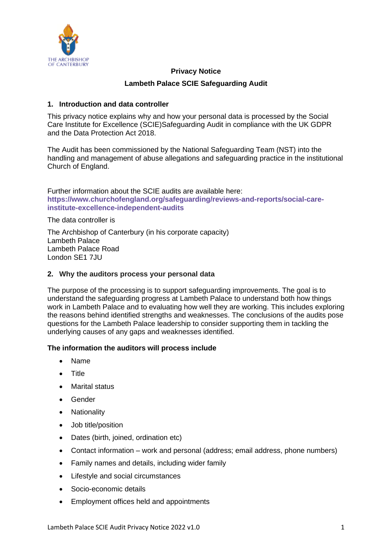

## **Privacy Notice**

## **Lambeth Palace SCIE Safeguarding Audit**

## **1. Introduction and data controller**

This privacy notice explains why and how your personal data is processed by the Social Care Institute for Excellence (SCIE)Safeguarding Audit in compliance with the UK GDPR and the Data Protection Act 2018.

The Audit has been commissioned by the National Safeguarding Team (NST) into the handling and management of abuse allegations and safeguarding practice in the institutional Church of England.

Further information about the SCIE audits are available here: **[https://www.churchofengland.org/safeguarding/reviews-and-reports/social-care](https://www.churchofengland.org/safeguarding/reviews-and-reports/social-care-institute-excellence-independent-audits)[institute-excellence-independent-audits](https://www.churchofengland.org/safeguarding/reviews-and-reports/social-care-institute-excellence-independent-audits)**

The data controller is

The Archbishop of Canterbury (in his corporate capacity) Lambeth Palace Lambeth Palace Road London SE1 7JU

### **2. Why the auditors process your personal data**

The purpose of the processing is to support safeguarding improvements. The goal is to understand the safeguarding progress at Lambeth Palace to understand both how things work in Lambeth Palace and to evaluating how well they are working. This includes exploring the reasons behind identified strengths and weaknesses. The conclusions of the audits pose questions for the Lambeth Palace leadership to consider supporting them in tackling the underlying causes of any gaps and weaknesses identified.

## **The information the auditors will process include**

- Name
- Title
- Marital status
- Gender
- Nationality
- Job title/position
- Dates (birth, joined, ordination etc)
- Contact information work and personal (address; email address, phone numbers)
- Family names and details, including wider family
- Lifestyle and social circumstances
- Socio-economic details
- Employment offices held and appointments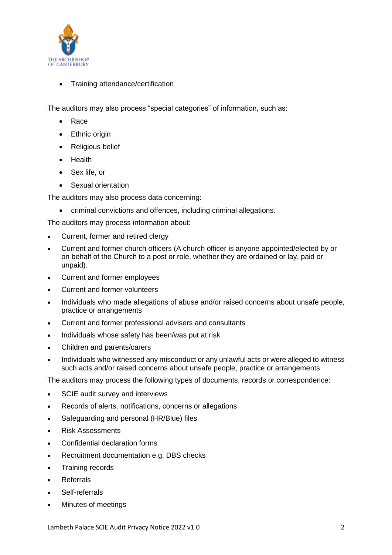

• Training attendance/certification

The auditors may also process "special categories" of information, such as:

- Race
- Ethnic origin
- Religious belief
- Health
- Sex life, or
- Sexual orientation

The auditors may also process data concerning:

• criminal convictions and offences, including criminal allegations.

The auditors may process information about:

- Current, former and retired clergy
- Current and former church officers (A church officer is anyone appointed/elected by or on behalf of the Church to a post or role, whether they are ordained or lay, paid or unpaid).
- Current and former employees
- Current and former volunteers
- Individuals who made allegations of abuse and/or raised concerns about unsafe people, practice or arrangements
- Current and former professional advisers and consultants
- Individuals whose safety has been/was put at risk
- Children and parents/carers
- Individuals who witnessed any misconduct or any unlawful acts or were alleged to witness such acts and/or raised concerns about unsafe people, practice or arrangements

The auditors may process the following types of documents, records or correspondence:

- SCIE audit survey and interviews
- Records of alerts, notifications, concerns or allegations
- Safeguarding and personal (HR/Blue) files
- Risk Assessments
- Confidential declaration forms
- Recruitment documentation e.g. DBS checks
- Training records
- Referrals
- Self-referrals
- Minutes of meetings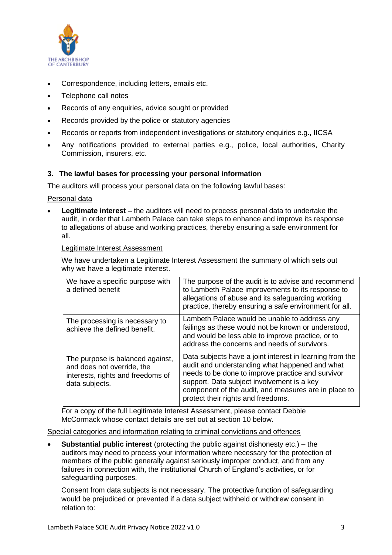

- Correspondence, including letters, emails etc.
- Telephone call notes
- Records of any enquiries, advice sought or provided
- Records provided by the police or statutory agencies
- Records or reports from independent investigations or statutory enquiries e.g., IICSA
- Any notifications provided to external parties e.g., police, local authorities, Charity Commission, insurers, etc.

## **3. The lawful bases for processing your personal information**

The auditors will process your personal data on the following lawful bases:

#### Personal data

• **Legitimate interest** – the auditors will need to process personal data to undertake the audit, in order that Lambeth Palace can take steps to enhance and improve its response to allegations of abuse and working practices, thereby ensuring a safe environment for all.

#### Legitimate Interest Assessment

We have undertaken a Legitimate Interest Assessment the summary of which sets out why we have a legitimate interest.

| We have a specific purpose with<br>a defined benefit                                                                  | The purpose of the audit is to advise and recommend<br>to Lambeth Palace improvements to its response to<br>allegations of abuse and its safeguarding working<br>practice, thereby ensuring a safe environment for all.                                                                                     |
|-----------------------------------------------------------------------------------------------------------------------|-------------------------------------------------------------------------------------------------------------------------------------------------------------------------------------------------------------------------------------------------------------------------------------------------------------|
| The processing is necessary to<br>achieve the defined benefit.                                                        | Lambeth Palace would be unable to address any<br>failings as these would not be known or understood,<br>and would be less able to improve practice, or to<br>address the concerns and needs of survivors.                                                                                                   |
| The purpose is balanced against,<br>and does not override, the<br>interests, rights and freedoms of<br>data subjects. | Data subjects have a joint interest in learning from the<br>audit and understanding what happened and what<br>needs to be done to improve practice and survivor<br>support. Data subject involvement is a key<br>component of the audit, and measures are in place to<br>protect their rights and freedoms. |

For a copy of the full Legitimate Interest Assessment, please contact Debbie McCormack whose contact details are set out at section 10 below.

Special categories and information relating to criminal convictions and offences

• **Substantial public interest** (protecting the public against dishonesty etc.) – the auditors may need to process your information where necessary for the protection of members of the public generally against seriously improper conduct, and from any failures in connection with, the institutional Church of England's activities, or for safeguarding purposes.

Consent from data subjects is not necessary. The protective function of safeguarding would be prejudiced or prevented if a data subject withheld or withdrew consent in relation to: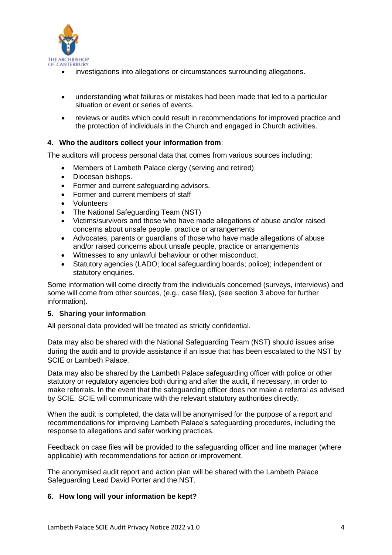

- investigations into allegations or circumstances surrounding allegations.
- understanding what failures or mistakes had been made that led to a particular situation or event or series of events.
- reviews or audits which could result in recommendations for improved practice and the protection of individuals in the Church and engaged in Church activities.

## **4. Who the auditors collect your information from**:

The auditors will process personal data that comes from various sources including:

- Members of Lambeth Palace clergy (serving and retired).
- Diocesan bishops.
- Former and current safeguarding advisors.
- Former and current members of staff
- Volunteers
- The National Safeguarding Team (NST)
- Victims/survivors and those who have made allegations of abuse and/or raised concerns about unsafe people, practice or arrangements
- Advocates, parents or guardians of those who have made allegations of abuse and/or raised concerns about unsafe people, practice or arrangements
- Witnesses to any unlawful behaviour or other misconduct.
- Statutory agencies (LADO; local safeguarding boards; police); independent or statutory enquiries.

Some information will come directly from the individuals concerned (surveys, interviews) and some will come from other sources, (e.g., case files), (see section 3 above for further information).

## **5. Sharing your information**

All personal data provided will be treated as strictly confidential.

Data may also be shared with the National Safeguarding Team (NST) should issues arise during the audit and to provide assistance if an issue that has been escalated to the NST by SCIE or Lambeth Palace.

Data may also be shared by the Lambeth Palace safeguarding officer with police or other statutory or regulatory agencies both during and after the audit, if necessary, in order to make referrals. In the event that the safeguarding officer does not make a referral as advised by SCIE, SCIE will communicate with the relevant statutory authorities directly.

When the audit is completed, the data will be anonymised for the purpose of a report and recommendations for improving Lambeth Palace's safeguarding procedures, including the response to allegations and safer working practices.

Feedback on case files will be provided to the safeguarding officer and line manager (where applicable) with recommendations for action or improvement.

The anonymised audit report and action plan will be shared with the Lambeth Palace Safeguarding Lead David Porter and the NST.

## **6. How long will your information be kept?**